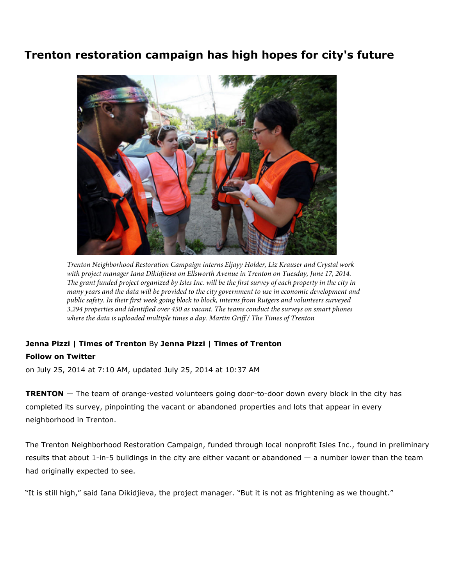## Trenton restoration campaign has high hopes for city's future



*Trenton Neighborhood Restoration Campaign interns Eljayy Holder, Liz Krauser and Crystal work*  with project manager Iana Dikidjieva on Ellsworth Avenue in Trenton on Tuesday, June 17, 2014. *The grant funded project organized by Isles Inc. will be the first survey of each property in the city in many years and the data will be provided to the city government to use in economic development and public safety. In their first week going block to block, interns from Rutgers and volunteers surveyed 3,294 properties and identified over 450 as vacant. The teams conduct the surveys on smart phones where the data is uploaded multiple times a day. Martin Griff / The Times of Trenton*

## Jenna Pizzi | Times of Trenton By Jenna Pizzi | Times of Trenton

## Follow on Twitter

on July 25, 2014 at 7:10 AM, updated July 25, 2014 at 10:37 AM

**TRENTON** — The team of orange-vested volunteers going door-to-door down every block in the city has completed its survey, pinpointing the vacant or abandoned properties and lots that appear in every neighborhood in Trenton.

The Trenton Neighborhood Restoration Campaign, funded through local nonprofit Isles Inc., found in preliminary results that about 1-in-5 buildings in the city are either vacant or abandoned — a number lower than the team had originally expected to see.

"It is still high," said Iana Dikidjieva, the project manager. "But it is not as frightening as we thought."